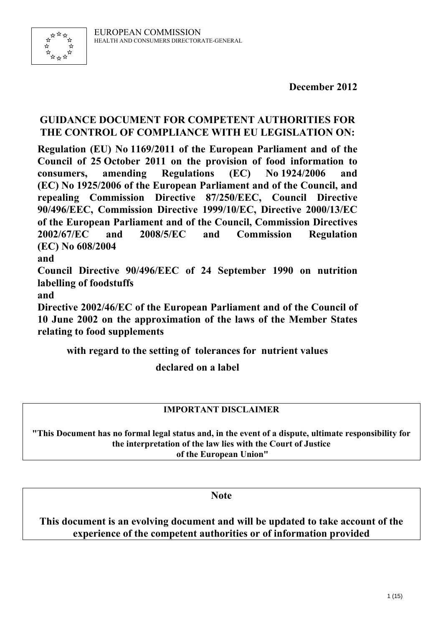

**December 2012** 

# **GUIDANCE DOCUMENT FOR COMPETENT AUTHORITIES FOR THE CONTROL OF COMPLIANCE WITH EU LEGISLATION ON:**

**Regulation (EU) No 1169/2011 of the European Parliament and of the Council of 25 October 2011 on the provision of food information to consumers, amending Regulations (EC) No 1924/2006 and (EC) No 1925/2006 of the European Parliament and of the Council, and repealing Commission Directive 87/250/EEC, Council Directive 90/496/EEC, Commission Directive 1999/10/EC, Directive 2000/13/EC of the European Parliament and of the Council, Commission Directives 2002/67/EC and 2008/5/EC and Commission Regulation (EC) No 608/2004** 

**and** 

**Council Directive 90/496/EEC of 24 September 1990 on nutrition labelling of foodstuffs** 

**and** 

**Directive 2002/46/EC of the European Parliament and of the Council of 10 June 2002 on the approximation of the laws of the Member States relating to food supplements** 

**with regard to the setting of tolerances for nutrient values** 

**declared on a label** 

# **IMPORTANT DISCLAIMER**

**"This Document has no formal legal status and, in the event of a dispute, ultimate responsibility for the interpretation of the law lies with the Court of Justice of the European Union"** 

**Note** 

**This document is an evolving document and will be updated to take account of the experience of the competent authorities or of information provided**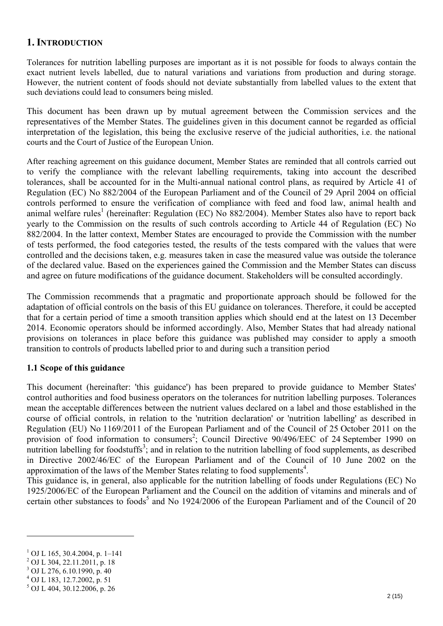## **1. INTRODUCTION**

Tolerances for nutrition labelling purposes are important as it is not possible for foods to always contain the exact nutrient levels labelled, due to natural variations and variations from production and during storage. However, the nutrient content of foods should not deviate substantially from labelled values to the extent that such deviations could lead to consumers being misled.

This document has been drawn up by mutual agreement between the Commission services and the representatives of the Member States. The guidelines given in this document cannot be regarded as official interpretation of the legislation, this being the exclusive reserve of the judicial authorities, i.e. the national courts and the Court of Justice of the European Union.

After reaching agreement on this guidance document, Member States are reminded that all controls carried out to verify the compliance with the relevant labelling requirements, taking into account the described tolerances, shall be accounted for in the Multi-annual national control plans, as required by Article 41 of Regulation (EC) No 882/2004 of the European Parliament and of the Council of 29 April 2004 on official controls performed to ensure the verification of compliance with feed and food law, animal health and animal welfare rules<sup>1</sup> (hereinafter: Regulation (EC) No 882/2004). Member States also have to report back yearly to the Commission on the results of such controls according to Article 44 of Regulation (EC) No 882/2004. In the latter context, Member States are encouraged to provide the Commission with the number of tests performed, the food categories tested, the results of the tests compared with the values that were controlled and the decisions taken, e.g. measures taken in case the measured value was outside the tolerance of the declared value. Based on the experiences gained the Commission and the Member States can discuss and agree on future modifications of the guidance document. Stakeholders will be consulted accordingly.

The Commission recommends that a pragmatic and proportionate approach should be followed for the adaptation of official controls on the basis of this EU guidance on tolerances. Therefore, it could be accepted that for a certain period of time a smooth transition applies which should end at the latest on 13 December 2014. Economic operators should be informed accordingly. Also, Member States that had already national provisions on tolerances in place before this guidance was published may consider to apply a smooth transition to controls of products labelled prior to and during such a transition period

### **1.1 Scope of this guidance**

This document (hereinafter: 'this guidance') has been prepared to provide guidance to Member States' control authorities and food business operators on the tolerances for nutrition labelling purposes. Tolerances mean the acceptable differences between the nutrient values declared on a label and those established in the course of official controls, in relation to the 'nutrition declaration' or 'nutrition labelling' as described in Regulation (EU) No 1169/2011 of the European Parliament and of the Council of 25 October 2011 on the provision of food information to consumers<sup>2</sup>; Council Directive 90/496/EEC of 24 September 1990 on nutrition labelling for foodstuffs<sup>3</sup>; and in relation to the nutrition labelling of food supplements, as described in Directive 2002/46/EC of the European Parliament and of the Council of 10 June 2002 on the approximation of the laws of the Member States relating to food supplements<sup>4</sup>.

This guidance is, in general, also applicable for the nutrition labelling of foods under Regulations (EC) No 1925/2006/EC of the European Parliament and the Council on the addition of vitamins and minerals and of certain other substances to foods<sup>5</sup> and No 1924/2006 of the European Parliament and of the Council of 20

1

<sup>1</sup> OJ L 165, 30.4.2004, p. 1–141

<sup>2</sup> OJ L 304, 22.11.2011, p. 18

<sup>3</sup> OJ L 276, 6.10.1990, p. 40

<sup>4</sup> OJ L 183, 12.7.2002, p. 51

<sup>5</sup> OJ L 404, 30.12.2006, p. 26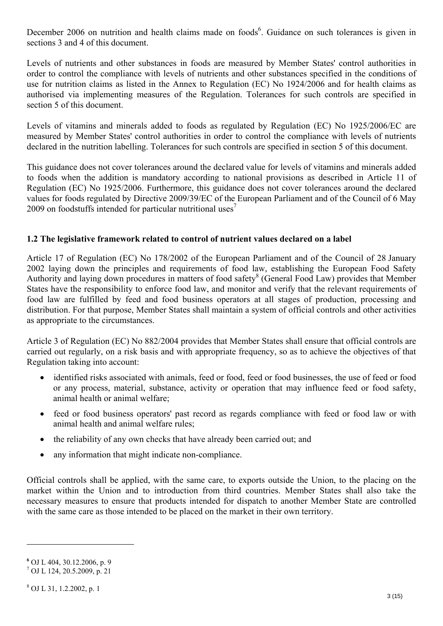December 2006 on nutrition and health claims made on foods<sup>6</sup>. Guidance on such tolerances is given in sections 3 and 4 of this document.

Levels of nutrients and other substances in foods are measured by Member States' control authorities in order to control the compliance with levels of nutrients and other substances specified in the conditions of use for nutrition claims as listed in the Annex to Regulation (EC) No 1924/2006 and for health claims as authorised via implementing measures of the Regulation. Tolerances for such controls are specified in section 5 of this document.

Levels of vitamins and minerals added to foods as regulated by Regulation (EC) No 1925/2006/EC are measured by Member States' control authorities in order to control the compliance with levels of nutrients declared in the nutrition labelling. Tolerances for such controls are specified in section 5 of this document.

This guidance does not cover tolerances around the declared value for levels of vitamins and minerals added to foods when the addition is mandatory according to national provisions as described in Article 11 of Regulation (EC) No 1925/2006. Furthermore, this guidance does not cover tolerances around the declared values for foods regulated by Directive 2009/39/EC of the European Parliament and of the Council of 6 May 2009 on foodstuffs intended for particular nutritional uses<sup>7</sup>

## **1.2 The legislative framework related to control of nutrient values declared on a label**

Article 17 of Regulation (EC) No 178/2002 of the European Parliament and of the Council of 28 January 2002 laying down the principles and requirements of food law, establishing the European Food Safety Authority and laying down procedures in matters of food safety<sup>8</sup> (General Food Law) provides that Member States have the responsibility to enforce food law, and monitor and verify that the relevant requirements of food law are fulfilled by feed and food business operators at all stages of production, processing and distribution. For that purpose, Member States shall maintain a system of official controls and other activities as appropriate to the circumstances.

Article 3 of Regulation (EC) No 882/2004 provides that Member States shall ensure that official controls are carried out regularly, on a risk basis and with appropriate frequency, so as to achieve the objectives of that Regulation taking into account:

- identified risks associated with animals, feed or food, feed or food businesses, the use of feed or food or any process, material, substance, activity or operation that may influence feed or food safety, animal health or animal welfare;
- feed or food business operators' past record as regards compliance with feed or food law or with animal health and animal welfare rules;
- the reliability of any own checks that have already been carried out; and
- any information that might indicate non-compliance.

Official controls shall be applied, with the same care, to exports outside the Union, to the placing on the market within the Union and to introduction from third countries. Member States shall also take the necessary measures to ensure that products intended for dispatch to another Member State are controlled with the same care as those intended to be placed on the market in their own territory.

1

**<sup>6</sup>** OJ L 404, 30.12.2006, p. 9

<sup>7</sup> OJ L 124, 20.5.2009, p. 21

<sup>8</sup> OJ L 31, 1.2.2002, p. 1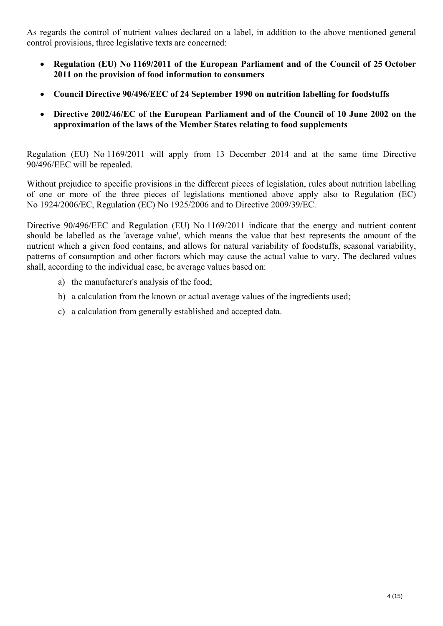As regards the control of nutrient values declared on a label, in addition to the above mentioned general control provisions, three legislative texts are concerned:

- **Regulation (EU) No 1169/2011 of the European Parliament and of the Council of 25 October 2011 on the provision of food information to consumers**
- **Council Directive 90/496/EEC of 24 September 1990 on nutrition labelling for foodstuffs**
- **Directive 2002/46/EC of the European Parliament and of the Council of 10 June 2002 on the approximation of the laws of the Member States relating to food supplements**

Regulation (EU) No 1169/2011 will apply from 13 December 2014 and at the same time Directive 90/496/EEC will be repealed.

Without prejudice to specific provisions in the different pieces of legislation, rules about nutrition labelling of one or more of the three pieces of legislations mentioned above apply also to Regulation (EC) No 1924/2006/EC, Regulation (EC) No 1925/2006 and to Directive 2009/39/EC.

Directive 90/496/EEC and Regulation (EU) No 1169/2011 indicate that the energy and nutrient content should be labelled as the 'average value', which means the value that best represents the amount of the nutrient which a given food contains, and allows for natural variability of foodstuffs, seasonal variability, patterns of consumption and other factors which may cause the actual value to vary. The declared values shall, according to the individual case, be average values based on:

- a) the manufacturer's analysis of the food;
- b) a calculation from the known or actual average values of the ingredients used;
- c) a calculation from generally established and accepted data.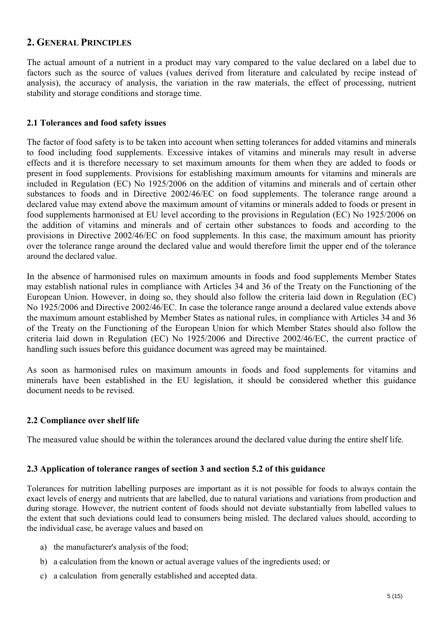## **2. GENERAL PRINCIPLES**

The actual amount of a nutrient in a product may vary compared to the value declared on a label due to factors such as the source of values (values derived from literature and calculated by recipe instead of analysis), the accuracy of analysis, the variation in the raw materials, the effect of processing, nutrient stability and storage conditions and storage time.

#### **2.1 Tolerances and food safety issues**

The factor of food safety is to be taken into account when setting tolerances for added vitamins and minerals to food including food supplements. Excessive intakes of vitamins and minerals may result in adverse effects and it is therefore necessary to set maximum amounts for them when they are added to foods or present in food supplements. Provisions for establishing maximum amounts for vitamins and minerals are included in Regulation (EC) No 1925/2006 on the addition of vitamins and minerals and of certain other substances to foods and in Directive 2002/46/EC on food supplements. The tolerance range around a declared value may extend above the maximum amount of vitamins or minerals added to foods or present in food supplements harmonised at EU level according to the provisions in Regulation (EC) No 1925/2006 on the addition of vitamins and minerals and of certain other substances to foods and according to the provisions in Directive 2002/46/EC on food supplements. In this case, the maximum amount has priority over the tolerance range around the declared value and would therefore limit the upper end of the tolerance around the declared value.

In the absence of harmonised rules on maximum amounts in foods and food supplements Member States may establish national rules in compliance with Articles 34 and 36 of the Treaty on the Functioning of the European Union. However, in doing so, they should also follow the criteria laid down in Regulation (EC) No 1925/2006 and Directive 2002/46/EC. In case the tolerance range around a declared value extends above the maximum amount established by Member States as national rules, in compliance with Articles 34 and 36 of the Treaty on the Functioning of the European Union for which Member States should also follow the criteria laid down in Regulation (EC) No 1925/2006 and Directive 2002/46/EC, the current practice of handling such issues before this guidance document was agreed may be maintained.

As soon as harmonised rules on maximum amounts in foods and food supplements for vitamins and minerals have been established in the EU legislation, it should be considered whether this guidance document needs to be revised.

### **2.2 Compliance over shelf life**

The measured value should be within the tolerances around the declared value during the entire shelf life.

#### **2.3 Application of tolerance ranges of section 3 and section 5.2 of this guidance**

Tolerances for nutrition labelling purposes are important as it is not possible for foods to always contain the exact levels of energy and nutrients that are labelled, due to natural variations and variations from production and during storage. However, the nutrient content of foods should not deviate substantially from labelled values to the extent that such deviations could lead to consumers being misled. The declared values should, according to the individual case, be average values and based on

- a) the manufacturer's analysis of the food;
- b) a calculation from the known or actual average values of the ingredients used; or
- c) a calculation from generally established and accepted data.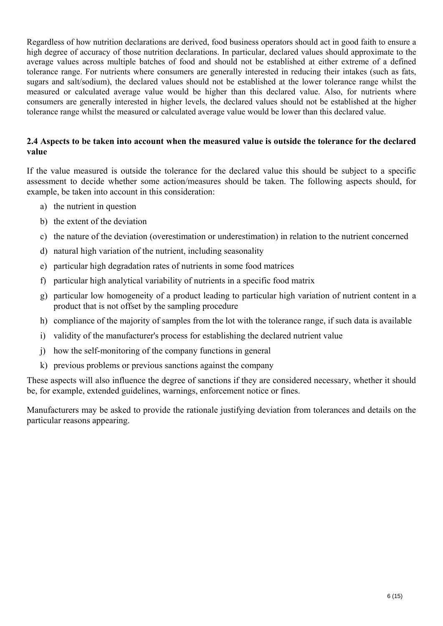Regardless of how nutrition declarations are derived, food business operators should act in good faith to ensure a high degree of accuracy of those nutrition declarations. In particular, declared values should approximate to the average values across multiple batches of food and should not be established at either extreme of a defined tolerance range. For nutrients where consumers are generally interested in reducing their intakes (such as fats, sugars and salt/sodium), the declared values should not be established at the lower tolerance range whilst the measured or calculated average value would be higher than this declared value. Also, for nutrients where consumers are generally interested in higher levels, the declared values should not be established at the higher tolerance range whilst the measured or calculated average value would be lower than this declared value.

### **2.4 Aspects to be taken into account when the measured value is outside the tolerance for the declared value**

If the value measured is outside the tolerance for the declared value this should be subject to a specific assessment to decide whether some action/measures should be taken. The following aspects should, for example, be taken into account in this consideration:

- a) the nutrient in question
- b) the extent of the deviation
- c) the nature of the deviation (overestimation or underestimation) in relation to the nutrient concerned
- d) natural high variation of the nutrient, including seasonality
- e) particular high degradation rates of nutrients in some food matrices
- f) particular high analytical variability of nutrients in a specific food matrix
- g) particular low homogeneity of a product leading to particular high variation of nutrient content in a product that is not offset by the sampling procedure
- h) compliance of the majority of samples from the lot with the tolerance range, if such data is available
- i) validity of the manufacturer's process for establishing the declared nutrient value
- j) how the self-monitoring of the company functions in general
- k) previous problems or previous sanctions against the company

These aspects will also influence the degree of sanctions if they are considered necessary, whether it should be, for example, extended guidelines, warnings, enforcement notice or fines.

Manufacturers may be asked to provide the rationale justifying deviation from tolerances and details on the particular reasons appearing.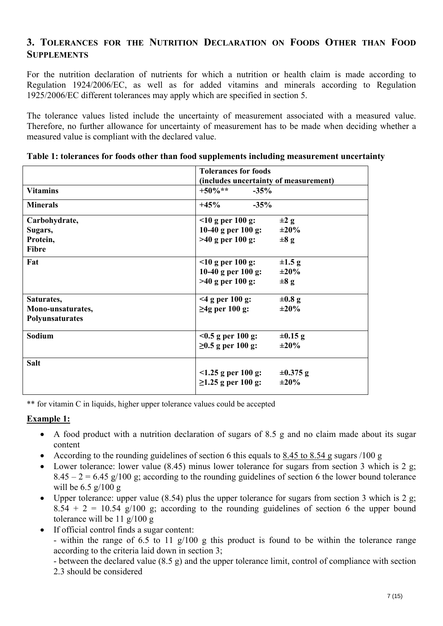# **3. TOLERANCES FOR THE NUTRITION DECLARATION ON FOODS OTHER THAN FOOD SUPPLEMENTS**

For the nutrition declaration of nutrients for which a nutrition or health claim is made according to Regulation 1924/2006/EC, as well as for added vitamins and minerals according to Regulation 1925/2006/EC different tolerances may apply which are specified in section 5.

The tolerance values listed include the uncertainty of measurement associated with a measured value. Therefore, no further allowance for uncertainty of measurement has to be made when deciding whether a measured value is compliant with the declared value.

|                          | <b>Tolerances for foods</b>               |  |  |
|--------------------------|-------------------------------------------|--|--|
|                          | (includes uncertainty of measurement)     |  |  |
| <b>Vitamins</b>          | $+50\%**$<br>$-35%$                       |  |  |
| <b>Minerals</b>          | $+45%$<br>$-35%$                          |  |  |
| Carbohydrate,            | $10$ g per 100 g:<br>$\pm 2$ g            |  |  |
| Sugars,                  | 10-40 g per $100$ g:<br>$\pm 20\%$        |  |  |
| Protein,<br><b>Fibre</b> | $>40$ g per 100 g:<br>$\pm 8$ g           |  |  |
| Fat                      | $10$ g per 100 g:<br>$\pm 1.5$ g          |  |  |
|                          | 10-40 g per $100$ g:<br>$\pm 20\%$        |  |  |
|                          | $>40$ g per 100 g:<br>$\pm 8$ g           |  |  |
| Saturates,               | $<$ 4 g per 100 g:<br>$\pm 0.8$ g         |  |  |
| Mono-unsaturates,        | $\geq$ 4g per 100 g:<br>$\pm 20\%$        |  |  |
| Polyunsaturates          |                                           |  |  |
| Sodium                   | $< 0.5$ g per 100 g:<br>$\pm 0.15$ g      |  |  |
|                          | $≥0.5$ g per 100 g:<br>$\pm 20\%$         |  |  |
| <b>Salt</b>              |                                           |  |  |
|                          | $\leq$ 1.25 g per 100 g:<br>$\pm 0.375$ g |  |  |
|                          | $≥1.25$ g per 100 g:<br>$\pm 20\%$        |  |  |

**Table 1: tolerances for foods other than food supplements including measurement uncertainty**

\*\* for vitamin C in liquids, higher upper tolerance values could be accepted

## **Example 1:**

- A food product with a nutrition declaration of sugars of 8.5 g and no claim made about its sugar content
- According to the rounding guidelines of section 6 this equals to 8.45 to 8.54 g sugars /100 g
- Lower tolerance: lower value  $(8.45)$  minus lower tolerance for sugars from section 3 which is 2 g;  $8.45 - 2 = 6.45$  g/100 g; according to the rounding guidelines of section 6 the lower bound tolerance will be 6.5 g/100 g
- Upper tolerance: upper value (8.54) plus the upper tolerance for sugars from section 3 which is 2 g;  $8.54 + 2 = 10.54$  g/100 g; according to the rounding guidelines of section 6 the upper bound tolerance will be 11 g/100 g
- If official control finds a sugar content:

- within the range of 6.5 to 11 g/100 g this product is found to be within the tolerance range according to the criteria laid down in section 3;

- between the declared value (8.5 g) and the upper tolerance limit, control of compliance with section 2.3 should be considered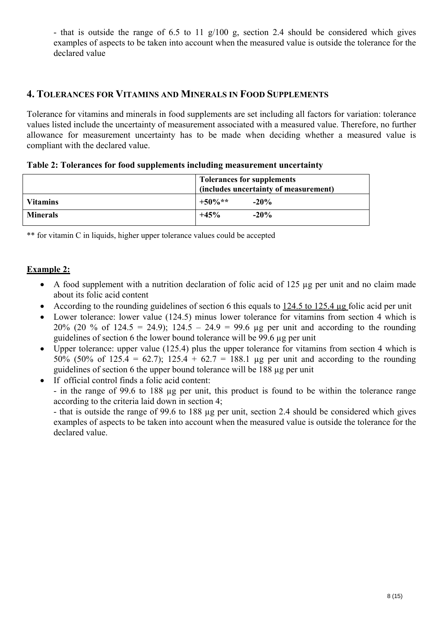- that is outside the range of 6.5 to 11 g/100 g, section 2.4 should be considered which gives examples of aspects to be taken into account when the measured value is outside the tolerance for the declared value

## **4. TOLERANCES FOR VITAMINS AND MINERALS IN FOOD SUPPLEMENTS**

Tolerance for vitamins and minerals in food supplements are set including all factors for variation: tolerance values listed include the uncertainty of measurement associated with a measured value. Therefore, no further allowance for measurement uncertainty has to be made when deciding whether a measured value is compliant with the declared value.

|  |  |  | Table 2: Tolerances for food supplements including measurement uncertainty |  |
|--|--|--|----------------------------------------------------------------------------|--|
|  |  |  |                                                                            |  |

|                 | <b>Tolerances for supplements</b><br>(includes uncertainty of measurement) |  |  |
|-----------------|----------------------------------------------------------------------------|--|--|
| <b>Vitamins</b> | $+50\%**$<br>$-20\%$                                                       |  |  |
| <b>Minerals</b> | $-20%$<br>$+45%$                                                           |  |  |

\*\* for vitamin C in liquids, higher upper tolerance values could be accepted

## **Example 2:**

- A food supplement with a nutrition declaration of folic acid of 125 µg per unit and no claim made about its folic acid content
- According to the rounding guidelines of section 6 this equals to 124.5 to 125.4 µg folic acid per unit
- Lower tolerance: lower value (124.5) minus lower tolerance for vitamins from section 4 which is 20% (20 % of 124.5 = 24.9); 124.5 – 24.9 = 99.6 µg per unit and according to the rounding guidelines of section 6 the lower bound tolerance will be 99.6 µg per unit
- Upper tolerance: upper value (125.4) plus the upper tolerance for vitamins from section 4 which is 50% (50% of 125.4 = 62.7); 125.4 + 62.7 = 188.1 µg per unit and according to the rounding guidelines of section 6 the upper bound tolerance will be 188 µg per unit
- If official control finds a folic acid content:

- in the range of 99.6 to 188 µg per unit, this product is found to be within the tolerance range according to the criteria laid down in section 4;

- that is outside the range of 99.6 to 188 µg per unit, section 2.4 should be considered which gives examples of aspects to be taken into account when the measured value is outside the tolerance for the declared value.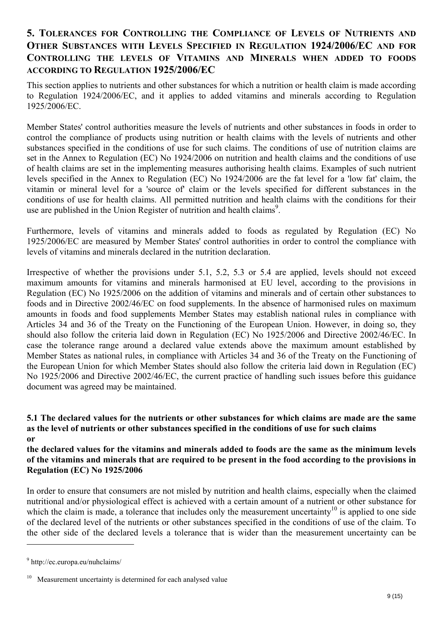# **5. TOLERANCES FOR CONTROLLING THE COMPLIANCE OF LEVELS OF NUTRIENTS AND OTHER SUBSTANCES WITH LEVELS SPECIFIED IN REGULATION 1924/2006/EC AND FOR CONTROLLING THE LEVELS OF VITAMINS AND MINERALS WHEN ADDED TO FOODS ACCORDING TO REGULATION 1925/2006/EC**

This section applies to nutrients and other substances for which a nutrition or health claim is made according to Regulation 1924/2006/EC, and it applies to added vitamins and minerals according to Regulation 1925/2006/EC.

Member States' control authorities measure the levels of nutrients and other substances in foods in order to control the compliance of products using nutrition or health claims with the levels of nutrients and other substances specified in the conditions of use for such claims. The conditions of use of nutrition claims are set in the Annex to Regulation (EC) No 1924/2006 on nutrition and health claims and the conditions of use of health claims are set in the implementing measures authorising health claims. Examples of such nutrient levels specified in the Annex to Regulation (EC) No 1924/2006 are the fat level for a 'low fat' claim, the vitamin or mineral level for a 'source of' claim or the levels specified for different substances in the conditions of use for health claims. All permitted nutrition and health claims with the conditions for their use are published in the Union Register of nutrition and health claims<sup>9</sup>.

Furthermore, levels of vitamins and minerals added to foods as regulated by Regulation (EC) No 1925/2006/EC are measured by Member States' control authorities in order to control the compliance with levels of vitamins and minerals declared in the nutrition declaration.

Irrespective of whether the provisions under 5.1, 5.2, 5.3 or 5.4 are applied, levels should not exceed maximum amounts for vitamins and minerals harmonised at EU level, according to the provisions in Regulation (EC) No 1925/2006 on the addition of vitamins and minerals and of certain other substances to foods and in Directive 2002/46/EC on food supplements. In the absence of harmonised rules on maximum amounts in foods and food supplements Member States may establish national rules in compliance with Articles 34 and 36 of the Treaty on the Functioning of the European Union. However, in doing so, they should also follow the criteria laid down in Regulation (EC) No 1925/2006 and Directive 2002/46/EC. In case the tolerance range around a declared value extends above the maximum amount established by Member States as national rules, in compliance with Articles 34 and 36 of the Treaty on the Functioning of the European Union for which Member States should also follow the criteria laid down in Regulation (EC) No 1925/2006 and Directive 2002/46/EC, the current practice of handling such issues before this guidance document was agreed may be maintained.

#### **5.1 The declared values for the nutrients or other substances for which claims are made are the same as the level of nutrients or other substances specified in the conditions of use for such claims or**

**the declared values for the vitamins and minerals added to foods are the same as the minimum levels of the vitamins and minerals that are required to be present in the food according to the provisions in Regulation (EC) No 1925/2006** 

In order to ensure that consumers are not misled by nutrition and health claims, especially when the claimed nutritional and/or physiological effect is achieved with a certain amount of a nutrient or other substance for which the claim is made, a tolerance that includes only the measurement uncertainty<sup>10</sup> is applied to one side of the declared level of the nutrients or other substances specified in the conditions of use of the claim. To the other side of the declared levels a tolerance that is wider than the measurement uncertainty can be

1

<sup>9</sup> http://ec.europa.eu/nuhclaims/

<sup>10</sup> Measurement uncertainty is determined for each analysed value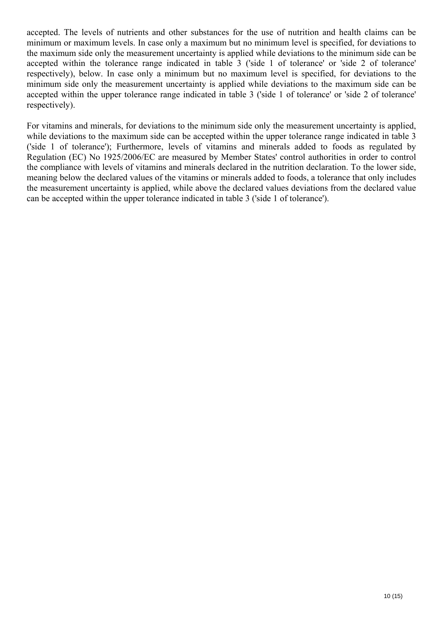accepted. The levels of nutrients and other substances for the use of nutrition and health claims can be minimum or maximum levels. In case only a maximum but no minimum level is specified, for deviations to the maximum side only the measurement uncertainty is applied while deviations to the minimum side can be accepted within the tolerance range indicated in table 3 ('side 1 of tolerance' or 'side 2 of tolerance' respectively), below. In case only a minimum but no maximum level is specified, for deviations to the minimum side only the measurement uncertainty is applied while deviations to the maximum side can be accepted within the upper tolerance range indicated in table 3 ('side 1 of tolerance' or 'side 2 of tolerance' respectively).

For vitamins and minerals, for deviations to the minimum side only the measurement uncertainty is applied, while deviations to the maximum side can be accepted within the upper tolerance range indicated in table 3 ('side 1 of tolerance'); Furthermore, levels of vitamins and minerals added to foods as regulated by Regulation (EC) No 1925/2006/EC are measured by Member States' control authorities in order to control the compliance with levels of vitamins and minerals declared in the nutrition declaration. To the lower side, meaning below the declared values of the vitamins or minerals added to foods, a tolerance that only includes the measurement uncertainty is applied, while above the declared values deviations from the declared value can be accepted within the upper tolerance indicated in table 3 ('side 1 of tolerance').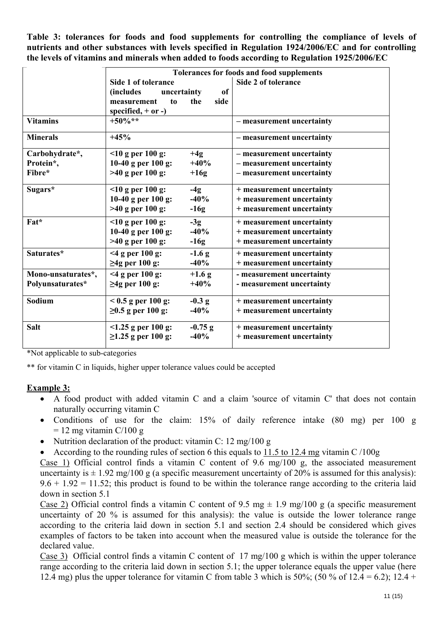**Table 3: tolerances for foods and food supplements for controlling the compliance of levels of nutrients and other substances with levels specified in Regulation 1924/2006/EC and for controlling the levels of vitamins and minerals when added to foods according to Regulation 1925/2006/EC** 

|                                        | Tolerances for foods and food supplements                                                                                    |                                                                                     |  |  |  |
|----------------------------------------|------------------------------------------------------------------------------------------------------------------------------|-------------------------------------------------------------------------------------|--|--|--|
|                                        | Side 1 of tolerance<br><i>(includes)</i><br>uncertainty<br>of<br>the<br>side<br>to<br>measurement<br>specified, $+$ or $-$ ) | Side 2 of tolerance                                                                 |  |  |  |
| <b>Vitamins</b>                        | $+50\%**$                                                                                                                    | - measurement uncertainty                                                           |  |  |  |
| <b>Minerals</b>                        | $+45%$                                                                                                                       | - measurement uncertainty                                                           |  |  |  |
| Carbohydrate*,<br>Protein*,<br>Fibre*  | $10$ g per 100 g:<br>$+4g$<br>10-40 g per $100$ g:<br>$+40%$<br>$>40$ g per 100 g:<br>$+16g$                                 | - measurement uncertainty<br>- measurement uncertainty<br>- measurement uncertainty |  |  |  |
| Sugars*                                | $10$ g per 100 g:<br>$-4g$<br>10-40 g per $100$ g:<br>$-40%$<br>$>40$ g per 100 g:<br>$-16g$                                 | + measurement uncertainty<br>+ measurement uncertainty<br>+ measurement uncertainty |  |  |  |
| Fat*                                   | $10$ g per 100 g:<br>$-3g$<br>10-40 g per $100$ g:<br>$-40%$<br>$>40$ g per 100 g:<br>$-16g$                                 | + measurement uncertainty<br>+ measurement uncertainty<br>+ measurement uncertainty |  |  |  |
| Saturates*                             | $<$ 4 g per 100 g:<br>$-1.6$ g<br>$\geq$ 4g per 100 g:<br>$-40%$                                                             | + measurement uncertainty<br>+ measurement uncertainty                              |  |  |  |
| Mono-unsaturates*,<br>Polyunsaturates* | $<$ 4 g per 100 g:<br>$+1.6$ g<br>$\geq$ 4g per 100 g:<br>$+40%$                                                             | - measurement uncertainty<br>- measurement uncertainty                              |  |  |  |
| Sodium                                 | $< 0.5$ g per 100 g:<br>$-0.3 g$<br>$≥0.5$ g per 100 g:<br>$-40%$                                                            | + measurement uncertainty<br>+ measurement uncertainty                              |  |  |  |
| Salt                                   | $\leq$ 1.25 g per 100 g:<br>$-0.75$ g<br>$≥1.25$ g per 100 g:<br>$-40%$                                                      | + measurement uncertainty<br>+ measurement uncertainty                              |  |  |  |

\*Not applicable to sub-categories

\*\* for vitamin C in liquids, higher upper tolerance values could be accepted

### **Example 3:**

- A food product with added vitamin C and a claim 'source of vitamin C' that does not contain naturally occurring vitamin C
- Conditions of use for the claim: 15% of daily reference intake (80 mg) per 100 g  $= 12$  mg vitamin C/100 g
- Nutrition declaration of the product: vitamin C: 12 mg/100 g
- According to the rounding rules of section 6 this equals to 11.5 to 12.4 mg vitamin C /100g

Case 1) Official control finds a vitamin C content of 9.6 mg/100 g, the associated measurement uncertainty is  $\pm$  1.92 mg/100 g (a specific measurement uncertainty of 20% is assumed for this analysis):  $9.6 + 1.92 = 11.52$ ; this product is found to be within the tolerance range according to the criteria laid down in section 5.1

Case 2) Official control finds a vitamin C content of 9.5 mg  $\pm$  1.9 mg/100 g (a specific measurement uncertainty of 20 % is assumed for this analysis): the value is outside the lower tolerance range according to the criteria laid down in section 5.1 and section 2.4 should be considered which gives examples of factors to be taken into account when the measured value is outside the tolerance for the declared value.

Case 3) Official control finds a vitamin C content of 17 mg/100 g which is within the upper tolerance range according to the criteria laid down in section 5.1; the upper tolerance equals the upper value (here 12.4 mg) plus the upper tolerance for vitamin C from table 3 which is 50%; (50 % of 12.4 = 6.2); 12.4 +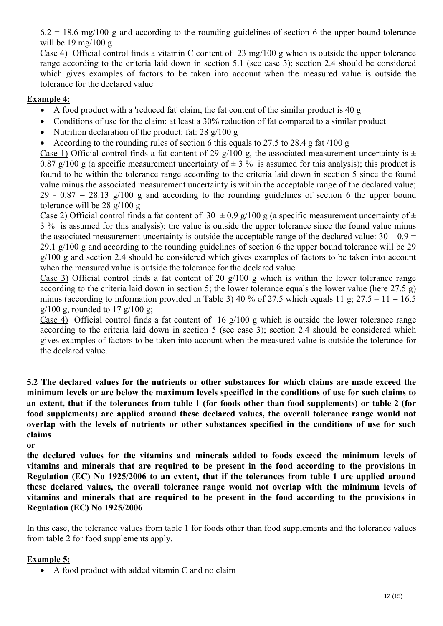$6.2 = 18.6$  mg/100 g and according to the rounding guidelines of section 6 the upper bound tolerance will be  $19 \text{ mg}/100 \text{ g}$ 

Case 4) Official control finds a vitamin C content of 23 mg/100 g which is outside the upper tolerance range according to the criteria laid down in section 5.1 (see case 3); section 2.4 should be considered which gives examples of factors to be taken into account when the measured value is outside the tolerance for the declared value

## **Example 4:**

- A food product with a 'reduced fat' claim, the fat content of the similar product is 40 g
- Conditions of use for the claim: at least a 30% reduction of fat compared to a similar product
- Nutrition declaration of the product: fat: 28 g/100 g
- According to the rounding rules of section 6 this equals to 27.5 to 28.4 g fat  $/100 g$

Case 1) Official control finds a fat content of 29 g/100 g, the associated measurement uncertainty is  $\pm$ 0.87 g/100 g (a specific measurement uncertainty of  $\pm$  3 % is assumed for this analysis); this product is found to be within the tolerance range according to the criteria laid down in section 5 since the found value minus the associated measurement uncertainty is within the acceptable range of the declared value; 29 - 0.87 = 28.13  $g/100$  g and according to the rounding guidelines of section 6 the upper bound tolerance will be 28 g/100 g

Case 2) Official control finds a fat content of 30  $\pm$  0.9 g/100 g (a specific measurement uncertainty of  $\pm$ 3 % is assumed for this analysis); the value is outside the upper tolerance since the found value minus the associated measurement uncertainty is outside the acceptable range of the declared value:  $30 - 0.9 =$ 29.1 g/100 g and according to the rounding guidelines of section 6 the upper bound tolerance will be 29 g/100 g and section 2.4 should be considered which gives examples of factors to be taken into account when the measured value is outside the tolerance for the declared value.

Case 3) Official control finds a fat content of 20  $g/100$  g which is within the lower tolerance range according to the criteria laid down in section 5; the lower tolerance equals the lower value (here 27.5 g) minus (according to information provided in Table 3) 40 % of 27.5 which equals 11 g;  $27.5 - 11 = 16.5$  $g/100$  g, rounded to 17  $g/100$  g;

Case 4) Official control finds a fat content of 16 g/100 g which is outside the lower tolerance range according to the criteria laid down in section 5 (see case 3); section 2.4 should be considered which gives examples of factors to be taken into account when the measured value is outside the tolerance for the declared value.

**5.2 The declared values for the nutrients or other substances for which claims are made exceed the minimum levels or are below the maximum levels specified in the conditions of use for such claims to an extent, that if the tolerances from table 1 (for foods other than food supplements) or table 2 (for food supplements) are applied around these declared values, the overall tolerance range would not overlap with the levels of nutrients or other substances specified in the conditions of use for such claims** 

**or** 

**the declared values for the vitamins and minerals added to foods exceed the minimum levels of vitamins and minerals that are required to be present in the food according to the provisions in Regulation (EC) No 1925/2006 to an extent, that if the tolerances from table 1 are applied around these declared values, the overall tolerance range would not overlap with the minimum levels of vitamins and minerals that are required to be present in the food according to the provisions in Regulation (EC) No 1925/2006** 

In this case, the tolerance values from table 1 for foods other than food supplements and the tolerance values from table 2 for food supplements apply.

### **Example 5:**

• A food product with added vitamin C and no claim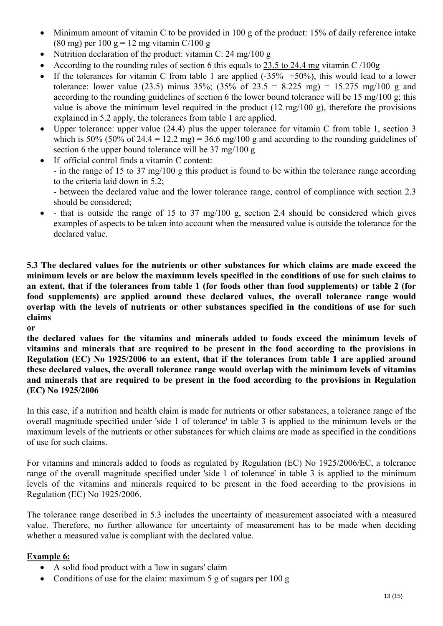- Minimum amount of vitamin C to be provided in 100 g of the product: 15% of daily reference intake (80 mg) per 100 g = 12 mg vitamin C/100 g
- Nutrition declaration of the product: vitamin C: 24 mg/100 g
- According to the rounding rules of section 6 this equals to  $23.5$  to  $24.4$  mg vitamin C /100g
- If the tolerances for vitamin C from table 1 are applied  $(-35\% +50\%)$ , this would lead to a lower tolerance: lower value (23.5) minus 35%; (35% of 23.5 = 8.225 mg) = 15.275 mg/100 g and according to the rounding guidelines of section 6 the lower bound tolerance will be 15 mg/100 g; this value is above the minimum level required in the product (12 mg/100 g), therefore the provisions explained in 5.2 apply, the tolerances from table 1 are applied.
- Upper tolerance: upper value (24.4) plus the upper tolerance for vitamin C from table 1, section 3 which is 50% (50% of 24.4 = 12.2 mg) = 36.6 mg/100 g and according to the rounding guidelines of section 6 the upper bound tolerance will be 37 mg/100 g
- If official control finds a vitamin C content: - in the range of 15 to 37 mg/100 g this product is found to be within the tolerance range according to the criteria laid down in 5.2;

- between the declared value and the lower tolerance range, control of compliance with section 2.3 should be considered;

 $\bullet$  - that is outside the range of 15 to 37 mg/100 g, section 2.4 should be considered which gives examples of aspects to be taken into account when the measured value is outside the tolerance for the declared value.

**5.3 The declared values for the nutrients or other substances for which claims are made exceed the minimum levels or are below the maximum levels specified in the conditions of use for such claims to an extent, that if the tolerances from table 1 (for foods other than food supplements) or table 2 (for food supplements) are applied around these declared values, the overall tolerance range would overlap with the levels of nutrients or other substances specified in the conditions of use for such claims** 

**or** 

**the declared values for the vitamins and minerals added to foods exceed the minimum levels of vitamins and minerals that are required to be present in the food according to the provisions in Regulation (EC) No 1925/2006 to an extent, that if the tolerances from table 1 are applied around these declared values, the overall tolerance range would overlap with the minimum levels of vitamins and minerals that are required to be present in the food according to the provisions in Regulation (EC) No 1925/2006** 

In this case, if a nutrition and health claim is made for nutrients or other substances, a tolerance range of the overall magnitude specified under 'side 1 of tolerance' in table 3 is applied to the minimum levels or the maximum levels of the nutrients or other substances for which claims are made as specified in the conditions of use for such claims.

For vitamins and minerals added to foods as regulated by Regulation (EC) No 1925/2006/EC, a tolerance range of the overall magnitude specified under 'side 1 of tolerance' in table 3 is applied to the minimum levels of the vitamins and minerals required to be present in the food according to the provisions in Regulation (EC) No 1925/2006.

The tolerance range described in 5.3 includes the uncertainty of measurement associated with a measured value. Therefore, no further allowance for uncertainty of measurement has to be made when deciding whether a measured value is compliant with the declared value.

## **Example 6:**

- A solid food product with a 'low in sugars' claim
- Conditions of use for the claim: maximum 5 g of sugars per 100 g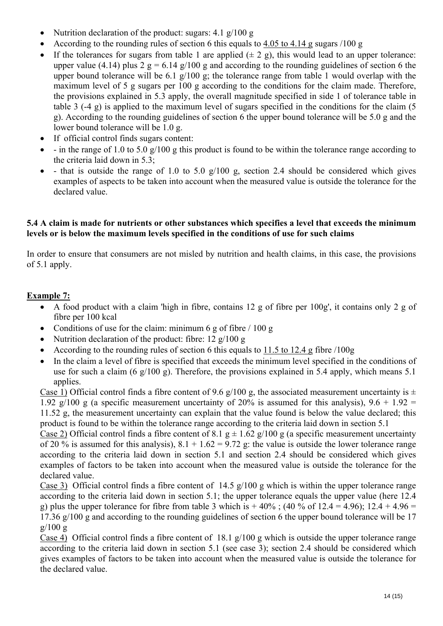- Nutrition declaration of the product: sugars: 4.1 g/100 g
- According to the rounding rules of section 6 this equals to 4.05 to 4.14 g sugars /100 g
- If the tolerances for sugars from table 1 are applied  $(\pm 2 \text{ g})$ , this would lead to an upper tolerance: upper value (4.14) plus 2 g = 6.14 g/100 g and according to the rounding guidelines of section 6 the upper bound tolerance will be 6.1 g/100 g; the tolerance range from table 1 would overlap with the maximum level of 5 g sugars per 100 g according to the conditions for the claim made. Therefore, the provisions explained in 5.3 apply, the overall magnitude specified in side 1 of tolerance table in table 3 (-4 g) is applied to the maximum level of sugars specified in the conditions for the claim (5 g). According to the rounding guidelines of section 6 the upper bound tolerance will be 5.0 g and the lower bound tolerance will be 1.0 g.
- If official control finds sugars content:
- - in the range of 1.0 to 5.0 g/100 g this product is found to be within the tolerance range according to the criteria laid down in 5.3;
- $\bullet$  that is outside the range of 1.0 to 5.0 g/100 g, section 2.4 should be considered which gives examples of aspects to be taken into account when the measured value is outside the tolerance for the declared value.

### **5.4 A claim is made for nutrients or other substances which specifies a level that exceeds the minimum levels or is below the maximum levels specified in the conditions of use for such claims**

In order to ensure that consumers are not misled by nutrition and health claims, in this case, the provisions of 5.1 apply.

## **Example 7:**

- A food product with a claim 'high in fibre, contains 12 g of fibre per 100g', it contains only 2 g of fibre per 100 kcal
- Conditions of use for the claim: minimum 6 g of fibre  $/ 100$  g
- Nutrition declaration of the product: fibre:  $12 \frac{g}{100}$  g
- According to the rounding rules of section 6 this equals to 11.5 to 12.4 g fibre /100g
- In the claim a level of fibre is specified that exceeds the minimum level specified in the conditions of use for such a claim (6 g/100 g). Therefore, the provisions explained in 5.4 apply, which means 5.1 applies.

Case 1) Official control finds a fibre content of 9.6 g/100 g, the associated measurement uncertainty is  $\pm$ 1.92 g/100 g (a specific measurement uncertainty of 20% is assumed for this analysis),  $9.6 + 1.92 =$ 11.52 g, the measurement uncertainty can explain that the value found is below the value declared; this product is found to be within the tolerance range according to the criteria laid down in section 5.1

Case 2) Official control finds a fibre content of 8.1 g  $\pm$  1.62 g/100 g (a specific measurement uncertainty of 20 % is assumed for this analysis),  $8.1 + 1.62 = 9.72$  g: the value is outside the lower tolerance range according to the criteria laid down in section 5.1 and section 2.4 should be considered which gives examples of factors to be taken into account when the measured value is outside the tolerance for the declared value.

Case 3) Official control finds a fibre content of 14.5 g/100 g which is within the upper tolerance range according to the criteria laid down in section 5.1; the upper tolerance equals the upper value (here 12.4) g) plus the upper tolerance for fibre from table 3 which is  $+40\%$ ; (40 % of 12.4 = 4.96); 12.4 + 4.96 = 17.36 g/100 g and according to the rounding guidelines of section 6 the upper bound tolerance will be 17  $g/100 g$ 

Case 4) Official control finds a fibre content of 18.1 g/100 g which is outside the upper tolerance range according to the criteria laid down in section 5.1 (see case 3); section 2.4 should be considered which gives examples of factors to be taken into account when the measured value is outside the tolerance for the declared value.